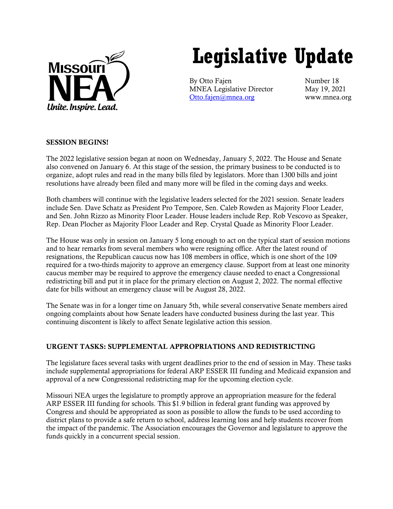

# **Legislative Update**

By Otto Fajen Number 18 MNEA Legislative Director May 19, 2021 [Otto.fajen@mnea.org](mailto:Otto.fajen@mnea.org) www.mnea.org

## SESSION BEGINS!

The 2022 legislative session began at noon on Wednesday, January 5, 2022. The House and Senate also convened on January 6. At this stage of the session, the primary business to be conducted is to organize, adopt rules and read in the many bills filed by legislators. More than 1300 bills and joint resolutions have already been filed and many more will be filed in the coming days and weeks.

Both chambers will continue with the legislative leaders selected for the 2021 session. Senate leaders include Sen. Dave Schatz as President Pro Tempore, Sen. Caleb Rowden as Majority Floor Leader, and Sen. John Rizzo as Minority Floor Leader. House leaders include Rep. Rob Vescovo as Speaker, Rep. Dean Plocher as Majority Floor Leader and Rep. Crystal Quade as Minority Floor Leader.

The House was only in session on January 5 long enough to act on the typical start of session motions and to hear remarks from several members who were resigning office. After the latest round of resignations, the Republican caucus now has 108 members in office, which is one short of the 109 required for a two-thirds majority to approve an emergency clause. Support from at least one minority caucus member may be required to approve the emergency clause needed to enact a Congressional redistricting bill and put it in place for the primary election on August 2, 2022. The normal effective date for bills without an emergency clause will be August 28, 2022.

The Senate was in for a longer time on January 5th, while several conservative Senate members aired ongoing complaints about how Senate leaders have conducted business during the last year. This continuing discontent is likely to affect Senate legislative action this session.

# URGENT TASKS: SUPPLEMENTAL APPROPRIATIONS AND REDISTRICTING

The legislature faces several tasks with urgent deadlines prior to the end of session in May. These tasks include supplemental appropriations for federal ARP ESSER III funding and Medicaid expansion and approval of a new Congressional redistricting map for the upcoming election cycle.

Missouri NEA urges the legislature to promptly approve an appropriation measure for the federal ARP ESSER III funding for schools. This \$1.9 billion in federal grant funding was approved by Congress and should be appropriated as soon as possible to allow the funds to be used according to district plans to provide a safe return to school, address learning loss and help students recover from the impact of the pandemic. The Association encourages the Governor and legislature to approve the funds quickly in a concurrent special session.